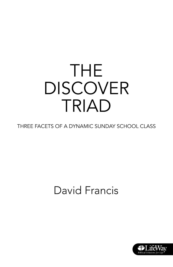# THE **DISCOVER** TRIAD

THREE FACETS OF A DYNAMIC SUNDAY SCHOOL CLASS

### David Francis

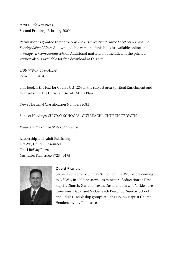© 2008 LifeWay Press Second Printing • February 2009<sup>®</sup>

Permission is granted to photocopy The Discover Triad: Three Facets of a Dynamic Sunday School Class. A downloadable version of this book is available online at www.lifeway.com/sundayschool. Additional material not included in the printed version also is available for free download at this site.

ISBN 978-1-4158-6412-8 Item 005118464

This book is the text for Course CG-1253 in the subject area Spiritual Enrichment and Evangelism in the Christian Growth Study Plan.

Dewey Decimal Classification Number: 268.1

Subject Headings: SUNDAY SCHOOLS--OUTREACH \ CHURCH GROWTH

Printed in the United States of America

Leadership and Adult Publishing LifeWay Church Resources One LifeWay Plaza Nashville, Tennessee 37234-0175



#### David Francis

Serves as director of Sunday School for LifeWay. Before coming to LifeWay in 1997, he served as minister of education at First Baptist Church, Garland, Texas. David and his wife Vickie have three sons. David and Vickie teach Preschool Sunday School and Adult Discipleship groups at Long Hollow Baptist Church, Hendersonville, Tennessee.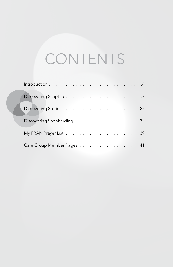### CONTENTS

| Care Group Member Pages 41 |
|----------------------------|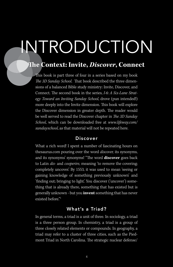# INTRODUCTION

#### **The Context: Invite, Discover, Connect**

This book is part three of four in a series based on my book The 3D Sunday School. That book described the three dimensions of a balanced Bible study ministry: Invite, Discover, and Connect. The second book in the series, I-6: A Six-Lane Strategy Toward an Inviting Sunday School, drove (pun intended!) more deeply into the Invite dimension. This book will explore the Discover dimension in greater depth. The reader would be well served to read the Discover chapter in The 3D Sunday School, which can be downloaded free at www.lifeway.com/ sundayschool, as that material will not be repeated here.

#### Discover

What a rich word! I spent a number of fascinating hours on thesaurus.com pouring over the word discover, its synonyms, and its synonyms' synonyms! "The word **discover** goes back to Latin dis- and cooperire, meaning 'to remove the covering; completely uncover.' By 1553, it was used to mean 'seeing or gaining knowledge of something previously unknown' and 'finding out; bringing to light.' You discover ('uncover') something that is already there, something that has existed but is generally unknown - but you **invent** something that has never existed before."<sup>1</sup>

#### What's a Triad?

In general terms, a triad is a unit of three. In sociology, a triad is a three person group. In chemistry, a triad is a group of three closely related elements or compounds. In geography, a triad may refer to a cluster of three cities, such as the Piedmont Triad in North Carolina. The strategic nuclear defense/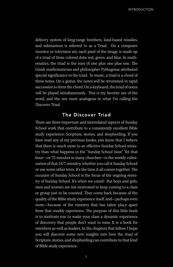INTRODUCTION

delivery system of long-range bombers, land-based missiles, and submarines is referred to as a Triad. On a computer monitor or television set, each pixel of the image is made up of a triad of three colored dots: red, green, and blue. In mathematics, the triad is the sum of one plus one plus one. The Greek mathematician and philosopher Pythagoras attributed special significance to the triad. In music, a triad is a chord of three notes. On a guitar, the notes will be strummed in rapid succession to form the chord. On a keyboard, the triad of notes will be played simultaneously. This is my favorite use of the word, and the one most analogous to what I'm calling the Discover Triad.

#### The Discover Triad

There are three important and interrelated aspects of Sunday School work that contribute to a consistently excellent Bible study experience: Scripture, stories, and shepherding. If you have read any of my previous books, you know that I believe that there is much more to an effective Sunday School ministry than what happens in the "Sunday School hour." Yet that hour—or 75 minutes in many churches—is the weekly culmination of that 24/7 ministry, whether you call it Sunday School or use some other term. It's the time it all comes together. The occasion of Sunday School is the focus of the ongoing ministry of Sunday School. It's when we count! But boys and girls, men and women are not motivated to keep coming to a class or group just to be counted. They come back because of the quality of the Bible study experience itself, and—perhaps even more—because of the ministry that has taken place apart from that weekly experience. The purpose of this little book is to motivate you to make your class a dynamic experience of discovery that people don't want to miss. It is a book for members as well as leaders. In the chapters that follow, I hope you will discover some new insights into how the triad of Scripture, stories, and shepherding can contribute to that kind of Bible study experience.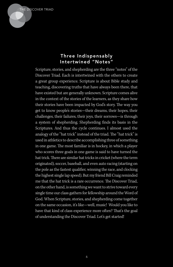

#### Three Indispensably Intertwined "Notes"

Scripture, stories, and shepherding are the three "notes" of the Discover Triad. Each is intertwined with the others to create a great group experience. Scripture is about Bible study and teaching, discovering truths that have always been there, that have existed but are generally unknown. Scripture comes alive in the context of the stories of the learners, as they share how their stories have been impacted by God's story. The way you get to know people's stories—their dreams, their hopes, their challenges, their failures, their joys, their sorrows—is through a system of shepherding. Shepherding finds its basis in the Scriptures. And thus the cycle continues. I almost used the analogy of the "hat trick" instead of the triad. The "hat trick" is used in athletics to describe accomplishing three of something in one game. The most familiar is in hockey, in which a player who scores three goals in one game is said to have turned the hat trick. There are similar hat tricks in cricket (where the term originated), soccer, baseball, and even auto racing (starting on the pole as the fastest qualifier, winning the race, and clocking the highest single lap speed). But my friend Bill Craig reminded me that the hat trick is a rare occurrence. The Discover Triad, on the other hand, is something we want to strive toward every single time our class gathers for fellowship around the Word of God. When Scripture, stories, and shepherding come together on the same occasion, it's like—well, music! Would you like to have that kind of class experience more often? That's the goal of understanding the Discover Triad. Let's get started!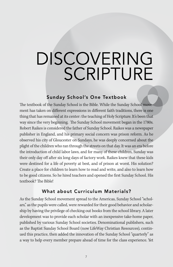# DISCOVERING SCRIPTURE

#### Sunday School's One Textbook

The textbook of the Sunday School is the Bible. While the Sunday School movement has taken on different expressions in different faith traditions, there is one thing that has remained at its center: the teaching of Holy Scripture. It's been that way since the very beginning. The Sunday School movement began in the 1780s. Robert Raikes is considered the father of Sunday School. Raikes was a newspaper publisher in England, and his primary social concern was prison reform. As he observed his city of Gloucester on Sundays, he was deeply concerned about the plight of the children who ran through the streets on that day. It was an era before the introduction of child labor laws, and for many of these children, Sunday was their only day off after six long days of factory work. Raikes knew that these kids were destined for a life of poverty at best, and of prison at worst. His solution? Create a place for children to learn how to read and write, and also to learn how to be good citizens. So he hired teachers and opened the first Sunday School. His textbook? The Bible!

#### What about Curriculum Materials?

As the Sunday School movement spread to the Americas, Sunday School "scholars," as the pupils were called, were rewarded for their good behavior and scholarship by having the privilege of checking out books from the school library. A later development was to provide each scholar with an inexpensive take-home paper, published by various Sunday School societies. Denominational publishers, such as the Baptist Sunday School Board (now LifeWay Christian Resources), continued this practice, then added the innovation of the Sunday School "quarterly" as a way to help every member prepare ahead of time for the class experience. Yet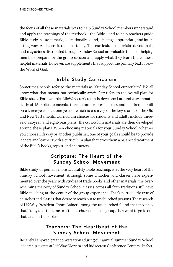the focus of all these materials was to help Sunday School members understand and apply the teachings of the textbook—the Bible—and to help teachers guide Bible study in a systematic, educationally sound, life-stage-appropriate, and interesting way. And thus it remains today. The curriculum materials, devotionals, and magazines distributed through Sunday School are valuable tools for helping members prepare for the group session and apply what they learn there. These helpful materials, however, are supplements that support the primary textbook the Word of God.

#### Bible Study Curriculum

Sometimes people refer to the materials as "Sunday School curriculum." We all know what that means, but technically *curriculum* refers to the overall plan for Bible study. For example, LifeWay curriculum is developed around a systematic study of 15 biblical concepts. Curriculum for preschoolers and children is built on a three-year plan, one year of which is a survey of the key stories of the Old and New Testaments. Curriculum choices for students and adults include threeyear, six-year, and eight-year plans. The curriculum materials are then developed around these plans. When choosing materials for your Sunday School, whether you choose LifeWay or another publisher, one of your goals should be to provide leaders and learners with a curriculum plan that gives them a balanced treatment of the Bible's books, topics, and characters.

#### Scripture: The Heart of the Sunday School Movement

Bible study, or perhaps more accurately, Bible teaching, is at the very heart of the Sunday School movement. Although some churches and classes have experimented over the years with studies of trade books and other materials, the overwhelming majority of Sunday School classes across all faith traditions still have Bible teaching at the center of the group experience. That's particularly true of churches and classes that desire to reach out to unchurched persons. The research of LifeWay President Thom Rainer among the unchurched found that most say that if they take the time to attend a church or small group, they want to go to one that teaches the Bible!<sup>2</sup>

#### Teachers: The Heartbeat of the Sunday School Movement

Recently I enjoyed great conversations during our annual summer Sunday School leadership events at LifeWay Glorieta and Ridgecrest Conference Centers<sup>®</sup>. In fact,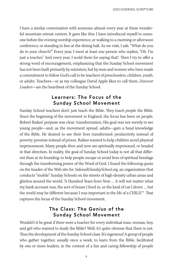I have a similar conversation with someone almost every year at these wonderful mountain retreat centers. It goes like this: I have introduced myself to someone before the evening worship experience, or walking to a morning or afternoon conference, or standing in line at the dining hall. As we visit, I ask: "What do you do in your church?" Every year, I meet at least one person who replies, "Oh, I'm just a teacher." And every year, I scold them for saying that! Then I try to offer a strong word of encouragement, emphasizing that the Sunday School movement has not been built primarily by ministers, but by men and women who have made a commitment to follow God's call to be teachers of preschoolers, children, youth, or adults. Teachers—or as my colleague David Apple likes to call them, Discover Leaders—are the heartbeat of the Sunday School.

#### Learners: The Focus of the Sunday School Movement

Sunday School teachers don't just teach the Bible. They teach people the Bible. Since the beginning of the movement in England, the focus has been on people. Robert Raikes' purpose was clear: transformation. His goal was not merely to see young people—and, as the movement spread, adults—gain a head knowledge of the Bible. He desired to see their lives transformed: productivity instead of poverty; promise instead of prison. Raikes wanted to help children avoid physical imprisonment. Many people then and now are spiritually imprisoned, or headed in that direction. In reality, the goal of Sunday School today is not all that different than at its founding: to help people escape or avoid lives of spiritual bondage through the transforming power of the Word of God. I found the following quote on the header of the Web site for SidewalkSundaySchool.org, an organization that conducts "mobile" Sunday Schools on the streets of high-density urban areas and ghettos around the world: "A Hundred Years from Now … it will not matter what my bank account was, the sort of house I lived in, or the kind of car I drove … but the world may be different because I was important in the life of a CHILD."<sup>3</sup> That captures the focus of the Sunday School movement.

#### The Class: The Genius of the Sunday School Movement

Wouldn't it be great if there were a teacher for every individual man, woman, boy, and girl who wanted to study the Bible? Well, it's quite obvious that there is not. Thus the development of the Sunday School class. It's ingenious! A group of people who gather together, usually once a week, to learn from the Bible, facilitated by one or more leaders, in the context of a fun and caring fellowship of people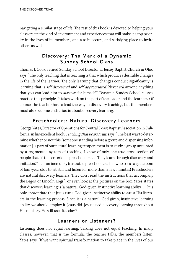navigating a similar stage of life. The rest of this book is devoted to helping your class create the kind of environment and experiences that will make it a top priority in the lives of its members, and a safe, secure, and satisfying place to invite others as well.

#### Discovery: The Mark of a Dynamic Sunday School Class

Thomas J. Cook, retired Sunday School Director at Jersey Baptist Church in Ohio says, "The only teaching that is teaching is that which produces desirable changes in the life of the learner. The only learning that changes conduct significantly is learning that is *self-discovered* and *self-appropriated*. Never *tell* anyone anything that you can lead him to *discover* for himself."<sup>4</sup> Dynamic Sunday School classes practice this principle. It takes work on the part of the leader and the learners. Of course, the teacher has to lead the way in discovery teaching, but the members must also become enthusiastic about discovery learning.

#### Preschoolers: Natural Discovery Learners

George Yates, Director of Operations for Central Coast Baptist Association in California, in his excellent book, *Teaching That Bears Fruit*, says: "The best way to determine whether or not this [someone standing before a group and dispensing information] is part of our natural learning temperament is to study a group untainted by a regimented system of teaching. I know of only one true cross-section of people that fit this criterion—preschoolers. . . . They learn through discovery and imitation."<sup>5</sup> It is an incredibly frustrated preschool teacher who tries to get a room of four-year olds to sit still and listen for more than a few minutes! Preschoolers are natural discovery learners. They don't read the instructions that accompany the Legos' or Lincoln Logs™, or even look at the pictures on the box. Yates states that discovery learning is "a natural, God-given, instinctive learning ability . . . It is only appropriate that Jesus use a God-given instinctive ability to assist His listeners in the learning process. Since it is a natural, God-given, instinctive learning ability, we should employ it. Jesus did. Jesus used discovery learning throughout His ministry. He still uses it today."<sup>6</sup>

#### Learners or Listeners?

Listening does not equal learning. Talking does not equal teaching. In many classes, however, that is the formula: the teacher talks, the members listen. Yates says, "If we want spiritual transformation to take place in the lives of our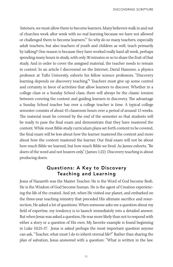listeners, we must allow them to become learners. Many believers walk in and out of churches week after week with no real learning because we have not allowed or challenged them to become learners."<sup>7</sup> So why do so many teachers, especially adult teachers, but also teachers of youth and children as well, teach primarily by talking? One reason is because they have worked really hard all week, perhaps spending many hours in study, with only 30 minutes or so to share the fruit of that study. And in order to cover the assigned material, the teacher needs to remain in control. In an article I discovered on the Internet, David Hammer, a physics professor at Tufts University, exhorts his fellow science professors, "Discovery learning depends on discovery teaching."<sup>8</sup> Teachers must give up some control and certainty in favor of activities that allow learners to discover. Whether in a college class or a Sunday School class, there will always be the classic tension between covering the content and guiding learners in discovery. The advantage a Sunday School teacher has over a college teacher is time. A typical college semester consists of about 45 classroom hours over a period of around 15 weeks. The material must be covered by the end of the semester so that students will be ready to pass the final exam and demonstrate that they have mastered the content. While most Bible study curriculum plans set forth content to be covered, the final exam will be less about how the learner mastered the content and more about how the content mastered the learner. Our final exam will not be about how much Bible we learned, but how much Bible we lived. As James exhorts, "Be doers of the word and not hearers only." (James 1:22) Discovery teaching is about producing doers.

#### Questions: A Key to Discovery Teaching and Learning

Jesus of Nazareth was the Master Teacher. He is the Word of God become flesh. He is the Wisdom of God become human. He is the agent of Creation experiencing the life of the created. And yet, when He visited our planet, and embarked on the three-year teaching ministry that preceded His ultimate sacrifice and resurrection, He asked a lot of questions. When someone asks me a question about my field of expertise, my tendency is to launch immediately into a detailed answer. But when Jesus was asked a question, He was more likely than not to respond with either a story or a question of His own. My favorite example is found beginning in Luke 10:25-37. Jesus is asked perhaps the most important question anyone can ask, "Teacher, what must I do to inherit eternal life?" Rather than sharing the plan of salvation, Jesus answered with a question: "What is written in the law.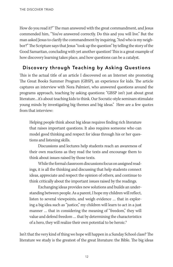How do you read it?" The man answered with the great commandment, and Jesus commended him, "You've answered correctly. Do this and you will live." But the man asked Jesus to clarify the commandment by inquiring, "And who is my neighbor?" The Scripture says that Jesus "took up the question" by telling the story of the Good Samaritan, concluding with yet another question! This is a great example of how discovery learning takes place, and how questions can be a catalyst.

#### Discovery through Teaching by Asking Questions

This is the actual title of an article I discovered on an Internet site promoting The Great Books Summer Program (GBSP), an experience for kids. The article captures an interview with Nora Palmieri, who answered questions around the programs approach, teaching by asking questions: "GBSP isn't just about great literature…it's about teaching kids to think. Our Socratic-style seminars stimulate young minds by investigating big themes and big ideas." Here are a few quotes from that interview:

Helping people think about big ideas requires finding rich literature that raises important questions. It also requires someone who can model good thinking and respect for ideas through his or her questions and listening skills.

Discussions and lectures help students reach an awareness of their own reactions as they read the texts and encourage them to think about issues raised by those texts.

While the formal classroom discussions focus on assigned readings, it is all the thinking and discussing that help students connect ideas, appreciate and respect the opinion of others, and continue to think critically about the important issues raised by the readings.

Exchanging ideas provides new solutions and builds an understanding between people. As a parent, I hope my children will reflect, listen to several viewpoints, and weigh evidence … that in exploring a big idea such as "justice," my children will learn to act in a just manner ... that in considering the meaning of "freedom," they will value and defend freedom … that by determining the characteristics of a hero, they will realize their own potential to be heroic.<sup>9</sup>

Isn't that the very kind of thing we hope will happen in a Sunday School class? The literature we study is the greatest of the great literature: the Bible. The big ideas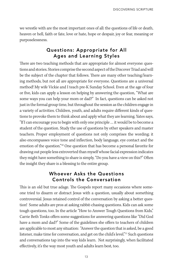we wrestle with are the most important ones of all: the questions of life or death, heaven or hell, faith or fate, love or hate, hope or despair, joy or fear, meaning or purposelessness.

#### Questions: Appropriate for All Ages and Learning Styles

There are two teaching methods that are appropriate for almost everyone: questions and stories. Stories comprise the second aspect of the Discover Triad and will be the subject of the chapter that follows. There are many other teaching/learning methods, but not all are appropriate for everyone. Questions are a universal method! My wife Vickie and I teach pre-K Sunday School. Even at the age of four or five, kids can apply a lesson on helping by answering the question, "What are some ways you can help your mom or dad?" In fact, questions can be asked not just in the formal group time, but throughout the session as the children engage in a variety of activities. Children, youth, and adults require different kinds of questions to provoke them to think about and apply what they are learning. Yates says, "If I can encourage you to begin with only one principle … it would be to become a student of the question. Study the use of questions by other speakers and master teachers. Proper employment of questions not only comprises the wording; it also encompasses voice tone and inflection, body language, eye contact and the emotion of the question."<sup>10</sup> One question that has become a personal favorite for drawing out people less extroverted than myself whose facial expression indicates they might have something to share is simply, "Do you have a view on this?" Often the insight they share is a blessing to the entire group.

#### Whoever Asks the Questions Controls the Conversation

This is an old but true adage. The Gospels report many occasions where someone tried to disarm or distract Jesus with a question, usually about something controversial. Jesus retained control of the conversation by asking a better question! Some adults are pros at asking rabbit-chasing questions. Kids can ask some tough questions, too. In the article "How to Answer Tough Questions from Kids," Carrie Beth Tonks offers some suggestions for answering questions like "Did God have a mom and dad?" Some of the guidelines she offers to teachers of children are applicable to most any situation: "Answer the question that is asked, be a good listener, make time for conversation, and get on the child's level."<sup>11</sup> Such questions and conversations tap into the way kids learn. Not surprisingly, when facilitated effectively, it's the way most youth and adults learn best, too.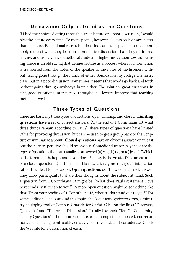#### Discussion: Only as Good as the Questions

If I had the choice of sitting through a great lecture or a poor discussion, I would pick the lecture every time! To many people, however, discussion is always better than a lecture. Educational research indeed indicates that people do retain and apply more of what they learn in a productive discussion than they do from a lecture, and usually have a better attitude and higher motivation toward learning. There is an old saying that defines lecture as a process whereby information is transferred from the notes of the speaker to the notes of the listeners without having gone through the minds of either. Sounds like my college chemistry class! But in a poor discussion, sometimes it seems that words go back and forth without going through anybody's brain either! The solution: great questions. In fact, good questions interspersed throughout a lecture improve that teaching method as well.

#### Three Types of Questions

There are basically three types of questions: open, limiting, and closed. **Limiting questions** have a set of correct answers. "At the end of 1 Corinthians 13, what three things remain according to Paul?" These types of questions have limited value for provoking discussion, but can be used to get a group back to the Scripture or summarize a point. **Closed questions** have an obvious answer, or at least one the learners perceive should be obvious. Comedic educators say these are the types of questions that can usually be answered (a) yes, (b) no, or (c) Jesus! "Which of the three—faith, hope, and love—does Paul say is the greatest?" is an example of a closed question. Questions like this may actually restrict group interaction rather than lead to discussion. **Open questions** don't have one correct answer. They allow participants to share their thoughts about the subject at hand. Such a question from 1 Corinthians 13 might be, "What does Paul's statement 'Love never ends' (v. 8) mean to you?" A more open question might be something like this: "From your reading of 1 Corinthians 13, what truths stand out to you?" For some additional ideas around this topic, check out www.godsquad.com, a ministry equipping tool of Campus Crusade for Christ. Click on the links "Discovery Questions" and "The Art of Discussion." I really like their "Ten C's Concerning Quality Questions." The ten are: concise, clear, complete, connected, conversational, challenging, contestable, creative, controversial, and considerate. Check the Web site for a description of each.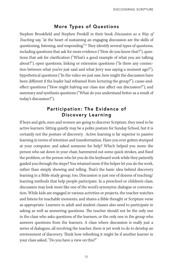#### More Types of Questions

Stephen Brookfield and Stephen Preskill in their book Discussion as a Way of Teaching say, "at the heart of sustaining an engaging discussion are the skills of questioning, listening, and responding."<sup>12</sup> They identify several types of questions, including questions that ask for more evidence ("How do you know that?"), questions that ask for clarification ("What's a good example of what you are talking about?"), open questions, linking or extension questions ("Is there any connection between what you've just said and what Jerry was saying a moment ago?"), hypothetical questions ("In the video we just saw, how might the discussion have been different if the leader had refrained from lecturing the group?"), cause-andeffect questions ("How might halving our class size affect our discussion?"), and summary and synthesis questions ("What do you understand better as a result of today's discussion?").

#### Participation: The Evidence of Discovery Learning

If boys and girls, men and women are going to discover Scripture, they need to be active learners. Sitting quietly may be a polite posture for Sunday School, but it is certainly not the posture of discovery. Active learning is far superior to passive learning in terms of retention and transformation. Have you ever gotten stumped at your computer, and asked someone for help? Which helped you more: the person who sat down in your chair, hammered out some quick strokes, and fixed the problem, or the person who let you do the keyboard work while they patiently guided you through the steps? You retained more if the helper let you do the work, rather than simply showing and telling. That's the basic idea behind discovery learning in a Bible study group, too. Discussion is just one of dozens of teaching/ learning methods that help people participate. In a preschool or children's class, discussion may look more like one of the word's synonyms: dialogue or conversation. While kids are engaged in various activities or projects, the teacher watches and listens for teachable moments, and shares a Bible thought or Scripture verse as appropriate. Learners in adult and student classes also need to participate in asking as well as answering questions. The teacher should not be the only one in the class who asks questions of the learners, or the only one in the group who answers questions from the learners. A class where discussion is really just a series of dialogues, all involving the teacher, there is yet work to do to develop an environment of discovery. Think how refreshing it might be if another learner in your class asked, "Do you have a view on this?"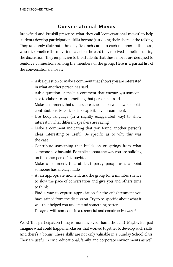#### Conversational Moves

Brookfield and Preskill prescribe what they call "conversational moves" to help students develop participation skills beyond just doing their share of the talking. They randomly distribute three-by-five inch cards to each member of the class, who is to practice the move indicated on the card they received sometime during the discussion. They emphasize to the students that these moves are designed to reinforce connections among the members of the group. Here is a partial list of the conversational moves:

- Ask a question or make a comment that shows you are interested in what another person has said.
- Ask a question or make a comment that encourages someone else to elaborate on something that person has said.
- Make a comment that underscores the link between two people's contributions. Make this link explicit in your comment.
- Use body language (in a slightly exaggerated way) to show interest in what different speakers are saying.
- Make a comment indicating that you found another person's ideas interesting or useful. Be specific as to why this was the case.
- Contribute something that builds on or springs from what someone else has said. Be explicit about the way you are building on the other person's thoughts.
- Make a comment that at least partly paraphrases a point someone has already made.
- At an appropriate moment, ask the group for a minute's silence to slow the pace of conversation and give you and others time to think.
- Find a way to express appreciation for the enlightenment you have gained from the discussion. Try to be specific about what it was that helped you understand something better.
- Disagree with someone in a respectful and constructive way.<sup>13</sup>

Wow! This participation thing is more involved than I thought! Maybe. But just imagine what could happen in classes that worked together to develop such skills. And there's a bonus! These skills are not only valuable in a Sunday School class. They are useful in civic, educational, family, and corporate environments as well.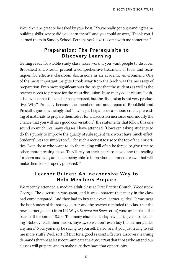Wouldn't it be great to be asked by your boss, "You've really got outstanding teambuilding skills; where did you learn them?" and you could answer, "Thank you. I learned them in Sunday School. Perhaps you'd like to come with me sometime!"

#### Preparation: The Prerequisite to Discovery Learning

Getting ready for a Bible study class takes work, if you want people to discover. Brookfield and Preskill present a comprehensive treatment of tools and techniques for effective classroom discussions in an academic environment. One of the most important insights I took away from the book was the necessity of preparation. Even more significant was the insight that the students as well as the teacher needs to prepare for the class discussion. In so many adult classes I visit, it is obvious that the teacher has prepared, but the discussion is not very productive. Why? Probably because the members are not prepared. Brookfield and Preskill argue convincingly that "having participants do a serious, crucial prereading of materials to prepare themselves for a discussion increases enormously the chance that you will have good conversation." The statements that follow this one sound so much like many classes I have attended: "However, asking students to do this purely to improve the quality of subsequent talk won't have much effect. Students' lives are simply too full for such a request to rise to the top of their priorities. Even those who want to do the reading will often be forced to give time to other, more pressing tasks. They'll rely on their peers to have done the reading for them and will gamble on being able to improvise a comment or two that will make them look properly prepared."<sup>14</sup>

#### Learner Guides: An Inexpensive Way to Help Members Prepare

We recently attended a median adult class at First Baptist Church, Woodstock, Georgia. The discussion was great, and it was apparent that many in the class had come prepared. And they had to buy their own learner guides! It was near the last Sunday of the spring quarter, and the teacher reminded the class that the new learner guides ( from LifeWay's Explore the Bible series) were available at the back of the room for \$2.00. Too many churches today have just given up, declaring "Nobody reads their lesson, anyway, so we don't even buy the learner guides anymore." Now, you may be saying to yourself, David, aren't you just trying to sell me more stuff? Well, sort of! But for a good reason! Effective discovery learning demands that we at least communicate the expectation that those who attend our classes will prepare, and to make sure they have that opportunity.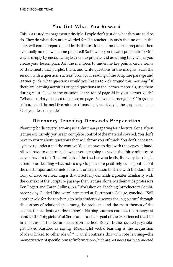#### You Get What You Reward

This is a tested management principle. People don't just do what they are told to do. They do what they are rewarded for. If a teacher assumes that no one in the class will come prepared, and leads the session as if no one has prepared, then eventually no one will come prepared! So how do you reward preparation? One way is simply by encouraging learners to prepare and assuming they will as you create your lesson plan. Ask the members to underline key points, circle terms or statements that perplex them, and write questions in the margins. Start the session with a question, such as "From your reading of the Scripture passage and learner guide, what questions would you like us to kick around this morning?" If there are learning activities or good questions in the learner materials, use them during class. "Look at the question at the top of page 34 in your learner guide." "What disturbs you about the photo on page 46 of your learner guide?" "In groups of four, spend the next five minutes discussing the activity in the gray box on page 37 of your learner guide."

#### Discovery Teaching Demands Preparation

Planning for discovery learning is harder than preparing for a lecture alone. If you lecture exclusively, you are in complete control of the material covered. You don't have to worry about questions that will throw you off track. You don't necessarily have to understand the context. You just have to deal with the verses at hand. All you have to determine is what you are going to  $say$  in the thirty minutes or so you have to talk. The first task of the teacher who leads discovery learning is a hard one: deciding what not to say. Or, put more positively, culling out all but the most important kernels of insight or explanation to share with the class. The irony of discovery teaching is that it actually demands a greater familiarity with the context of the Scripture passage than lecture alone. Mathematics professors Ken Bogart and Karen Collins, in a "Workshop on Teaching Introductory Combinatorics by Guided Discovery" presented at Dartmouth College, conclude "Still another role for the teacher is to help students discover the 'big picture' through discussions of relationships among the problems and the main themes of the subject the students are developing."<sup>15</sup> Helping learners connect the passage at hand to the "big picture" of Scripture is a major goal of the experienced teacher. In a lecture on the lecture-discussion method, Evelyn Daniel quoted psychologist David Ausubel as saying "Meaningful verbal learning is the acquisition of ideas linked to other ideas."<sup>16</sup> Daniel contrasts this with rote learning—the memorization of specific items of information which are not necessarily connected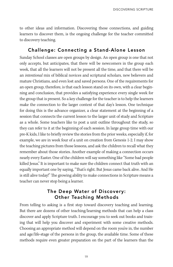to other ideas and information. Discovering these connections, and guiding learners to discover them, is the ongoing challenge for the teacher committed to discovery teaching.

#### Challenge: Connecting a Stand-Alone Lesson

Sunday School classes are open groups by design. An open group is one that not only accepts, but anticipates, that there will be newcomers in the group each week, that all the learners will not be present all the time, and that there will be an intentional mix of biblical novices and scriptural scholars, new believers and mature Christians, and even lost and saved persons. One of the requirements for an open group, therefore, is that each lesson stand on its own, with a clear beginning and conclusion, that provides a satisfying experience every single week for the group that is present. So a key challenge for the teacher is to help the learners make the connection to the larger context of that day's lesson. One technique for doing this is the advance organizer, a clear statement at the beginning of a session that connects the current lesson to the larger unit of study and Scripture as a whole. Some teachers like to post a unit outline throughout the study, so they can refer to it at the beginning of each session. In large group time with our pre-K kids, I like to briefly review the stories from the prior weeks, especially if, for example, we are in week four of a unit on creation from Genesis 1-2. I may show the teaching pictures from those lessons, and ask the children to recall what they remember about those stories. Another example of making a connection occurs nearly every Easter. One of the children will say something like "Some bad people killed Jesus." It is important to make sure the children connect that truth with an equally important one by saying, "That's right. But Jesus came back alive. And He is still alive today!" The growing ability to make connections in Scripture means a teacher can never stop being a learner.

#### The Deep Water of Discovery: Other Teaching Methods

From telling to asking is a first step toward discovery teaching and learning. But there are dozens of other teaching/learning methods that can help a class discover and apply Scripture truth. I encourage you to seek out books and training that will help you discover and experiment with some creative methods. Choosing an appropriate method will depend on the room you're in, the number and age/life-stage of the persons in the group, the available time. Some of these methods require even greater preparation on the part of the learners than the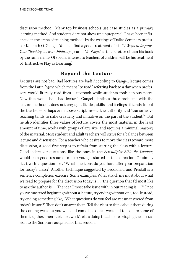discussion method. Many top business schools use case studies as a primary learning method. And students dare not show up unprepared! I have been influenced in the arena of teaching methods by the writings of Dallas Seminary professor Kenneth O. Gangel. You can find a good treatment of his 24 Ways to Improve Your Teaching at www.bible.org (search "24 Ways" at that site), or obtain his book by the same name. Of special interest to teachers of children will be his treatment of "Instructive Play as Learning."

#### Beyond the Lecture

Lectures are not bad. Bad lectures are bad! According to Gangel, lecture comes from the Latin legere, which means "to read," referring back to a day when professors would literally read from a textbook while students took copious notes. Now that would be a bad lecture! Gangel identifies three problems with the lecture method: it does not engage attitudes, skills, and feelings, it tends to put the teacher—perhaps even above Scripture—as the authority, and "transmissive teaching tends to stifle creativity and initiative on the part of the student."<sup>17</sup> But he also identifies three values of lecture: covers the most material in the least amount of time, works with groups of any size, and requires a minimal mastery of the material. Most student and adult teachers will strive for a balance between lecture and discussion. For a teacher who desires to move the class toward more discussion, a good first step is to refrain from starting the class with a lecture. Good icebreaker questions, like the ones in the Serendipity Bible for Leaders, would be a good resource to help you get started in that direction. Or simply start with a question like, "What questions do you have after your preparation for today's class?" Another technique suggested by Brookfield and Preskill is a sentence completion exercise. Some examples: What struck me most about what we read to prepare for the discussion today is …. The question that I'd most like to ask the author is …. The idea I most take issue with in our reading is ….<sup>18</sup> Once you've mastered beginning without a lecture, try ending without one, too. Instead, try ending something like, "What questions do you feel are yet unanswered from today's lesson?" Then don't answer them! Tell the class to think about them during the coming week, as you will, and come back next weekend to explore some of them together. Then start next week's class doing that, before bridging the discussion to the Scripture assigned for that session.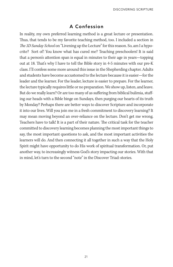#### A Confession

In reality, my own preferred learning method is a great lecture or presentation. Thus, that tends to be my favorite teaching method, too. I included a section in The 3D Sunday School on "Livening up the Lecture" for this reason. So, am I a hypocrite? Sort of! You know what has cured me? Teaching preschoolers! It is said that a person's attention span is equal in minutes to their age in years—topping out at 18. That's why I have to tell the Bible story in 4-5 minutes with our pre-K class. I'll confess some more around this issue in the Shepherding chapter. Adults and students have become accustomed to the lecture because it is easier—for the leader and the learner. For the leader, lecture is easier to prepare. For the learner, the lecture typically requires little or no preparation. We show up, listen, and leave. But do we really learn? Or are too many of us suffering from biblical bulimia, stuffing our heads with a Bible binge on Sundays, then purging our hearts of its truth by Monday? Perhaps there are better ways to discover Scripture and incorporate it into our lives. Will you join me in a fresh commitment to discovery learning? It may mean moving beyond an over-reliance on the lecture. Don't get me wrong. Teachers have to talk! It is a part of their nature. The critical task for the teacher committed to discovery learning becomes planning the most important things to say, the most important questions to ask, and the most important activities the learners will do. And then connecting it all together in such a way that the Holy Spirit might have opportunity to do His work of spiritual transformation. Or, put another way, to increasingly witness God's story impacting our stories. With that in mind, let's turn to the second "note" in the Discover Triad: stories.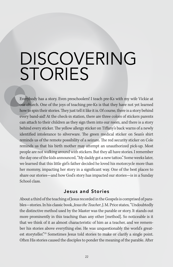### DISCOVERING **STORIES**

Everybody has a story. Even preschoolers! I teach pre-Ks with my wife Vickie at our church. One of the joys of teaching pre-Ks is that they have not yet learned how to spin their stories. They just tell it like it is. Of course, there is a story behind every band-aid! At the check-in station, there are three colors of stickers parents can attach to their children as they sign them into our room, and there is a story behind every sticker. The yellow allergy sticker on Tiffany's back warns of a newly identified intolerance to silverware. The green medical sticker on Sean's shirt reminds us of the remote possibility of a seizure. The red security sticker on Cole reminds us that his birth mother may attempt an unauthorized pick-up. Most people are not walking around with stickers. But they all have stories. I remember the day one of the kids announced, "My daddy got a new tattoo." Some weeks later, we learned that this little girl's father decided he loved his motorcycle more than her mommy, impacting her story in a significant way. One of the best places to share our stories—and how God's story has impacted our stories—is in a Sunday School class.

#### Jesus and Stories

About a third of the teaching of Jesus recorded in the Gospels is comprised of parables—stories. In his classic book, *Jesus the Teacher*, J. M. Price states, "Undoubtedly the distinctive method used by the Master was the parable or story. It stands out more prominently in this teaching than any other [method]. So noticeable is it that we think of it as almost characteristic of him as a teacher, and we remember his stories above everything else. He was unquestionably the world's greatest storyteller."<sup>19</sup> Sometimes Jesus told stories to make or clarify a single point. Often His stories caused the disciples to ponder the meaning of the parable. After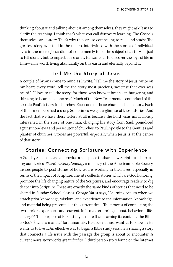thinking about it and talking about it among themselves, they might ask Jesus to clarify the teaching. I think that's what you call discovery learning! The Gospels themselves are a story. That's why they are so compelling to read and study: The greatest story ever told in the macro, intertwined with the stories of individual lives in the micro. Jesus did not come merely to be the subject of a story, or just to tell stories, but to impact our stories. He wants us to discover the joys of life in Him—a life worth living abundantly on this earth and eternally beyond it.

#### Tell Me the Story of Jesus

A couple of hymns come to mind as I write. "Tell me the story of Jesus, write on my heart every word; tell me the story most precious, sweetest that ever was heard." "I love to tell the story; for those who know it best seem hungering and thirsting to hear it, like the rest." Much of the New Testament is comprised of the apostle Paul's letters to churches. Each one of those churches had a story. Each of their members had a story. Sometimes we get a glimpse of those stories. And the fact that we have these letters at all is because the Lord Jesus miraculously intervened in the story of one man, changing his story from Saul, prejudiced against non-Jews and persecutor of churches, to Paul, Apostle to the Gentiles and planter of churches. Stories are powerful, especially when Jesus is at the center of that story!

#### Stories: Connecting Scripture with Experience

A Sunday School class can provide a safe place to share how Scripture is impacting our stories. ShareYourStoryNow.org, a ministry of the American Bible Society, invites people to post stories of how God is working in their lives, especially in terms of the impact of Scripture. The site collects stories which are God honoring, promote the life changing nature of the Scriptures, and encourage readers to dig deeper into Scripture. These are exactly the same kinds of stories that need to be shared in Sunday School classes. George Yates says, "Learning occurs when we attach prior knowledge, wisdom, and experience to the information, knowledge, and material being presented at the current time. The process of connecting the two—prior experience and current information—brings about behavioral lifechange."<sup>20</sup> The purpose of Bible study is more than learning its content. The Bible is God's "owner's manual" for human life. He does not just want us to know it; He wants us to live it. An effective way to begin a Bible study session is sharing a story that connects a life issue with the passage the group is about to encounter. A current news story works great if it fits. A third person story found on the Internet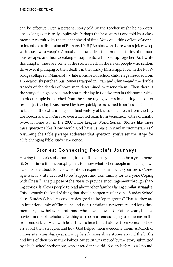can be effective. Even a personal story told by the teacher might be appropriate, as long as it is truly applicable. Perhaps the best story is one told by a class member, recruited by the teacher ahead of time. You could think of lots of stories to introduce a discussion of Romans 12:15 ("Rejoice with those who rejoice; weep with those who weep.") Almost all natural disasters produce stories of miraculous escapes and heartbreaking entrapments, all mixed up together. As I write this chapter, these are some of the stories fresh in the news: people who seldom drive over it plunging to their deaths in the muddy Mississippi River in the I-35W bridge collapse in Minnesota, while a busload of school children get rescued from a precariously perched bus. Miners trapped in Utah and China—and the double tragedy of the deaths of brave men determined to rescue them. Then there is the story of a high school track star perishing in floodwaters in Oklahoma, while an older couple is snatched from the same raging waters in a daring helicopter rescue. Just today, I was moved by how quickly tears turned to smiles, and smiles to tears, in the extra-inning semifinal victory of the baseball team from the tiny Caribbean island of Curacao over a favored team from Venezuela, with a dramatic two-out home run in the 2007 Little League World Series. Stories like these raise questions like "How would God have us react in similar circumstances?" Assuming the Bible passage addresses that question, you've set the stage for a life-changing Bible study experience.

#### Stories: Connecting People's Journeys

Hearing the stories of other pilgrims on the journey of life can be a great benefit. Sometimes it's encouraging just to know what other people are facing, have faced, or are about to face when it's an experience similar to your own. CarePages.com is a site devoted to be "Support and Community for Everyone Coping with Illness."<sup>21</sup> The purpose of the site is to provide encouragement through sharing stories. It allows people to read about other families facing similar struggles. This is exactly the kind of thing that should happen regularly in a Sunday School class. Sunday School classes are designed to be "open groups." That is, they are an intentional mix of Christians and non-Christians, newcomers and long-time members, new believers and those who have followed Christ for years, biblical novices and Bible scholars. Nothing can be more encouraging to someone on the front-end of their walk with Jesus than to hear honest stories from veteran believers about their struggles and how God helped them overcome them. A March of Dimes site, www.shareyourstory.org, lets families share stories around the births and lives of their premature babies. My spirit was moved by the story submitted by a high school sophomore, who entered the world 15 years before as a 2 pound,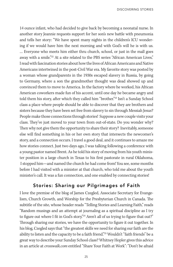14 ounce infant, who had decided to give back by becoming a neonatal nurse. In another story Jeannie requests support for her son's new battle with pneumonia and tells her story: "We have spent many nights in the children's ICU wondering if we would have him the next morning and with God's will he is with us. … Everyone who meets him either thru church, school, or just in the mall goes away with a smile."<sup>22</sup> At a site related to the PBS series "African American Lives," I read with fascination stories about how the lives of African Americans and Native Americans intertwined in the post-Civil War era. My favorite story was posted by a woman whose grandparents in the 1930s escaped slavery in Russia, by going to Germany, where a son the grandmother thought was dead showed up and convinced them to move to America. In the factory where he worked, his African American coworkers made fun of his accent, until one day he became angry and told them his story, after which they called him "brother."<sup>23</sup> Isn't a Sunday School class a place where people should be able to discover that they are brothers and sisters because they have been set free from slavery to sin through Messiah Jesus? People make those connections through stories! Suppose a new couple visits your class. They've just moved to your town from out-of-state. Do you wonder why? Then why not give them the opportunity to share their story? Inevitably, someone else will find something in his or her own story that intersects the newcomer's story, and a connection occurs. I travel a good deal, and it continues to amaze me how stories connect. Just two days ago, I was talking following a conference with a young pastor named Brent. As he told his story of moving from his youth minister position in a large church in Texas to his first pastorate in rural Oklahoma, I stopped him—and named the church he had come from! You see, some months before I had visited with a minister at that church, who told me about the youth minister's call. It was a fun connection, and one enabled by connecting stories!

#### Stories: Sharing our Pilgrimages of Faith

I love the premise of the blog of James Czegled, Associate Secretary for Evangelism, Church Growth, and Worship for the Presbyterian Church in Canada. The subtitle of the site, whose header reads "Telling Stories and Learning Faith," reads "Random musings and an attempt at journaling as a spiritual discipline as I try to figure out where I fit in God's story."<sup>24</sup> Aren't all of us trying to figure that out?" Through sharing our stories, we have the opportunity to figure it out together. In his blog, Czegled says that "the greatest skills we need for sharing our faith are the ability to listen and the capacity to be a faith friend."<sup>25</sup> Wouldn't "faith friends" be a great way to describe your Sunday School class? Whitney Hopler gives this advice in an article at crosswalk.com entitled "Share Your Faith at Work": "Don't be afraid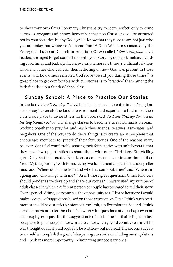to show your own flaws. Too many Christians try to seem perfect, only to come across as arrogant and phony. Remember that non-Christians will be attracted not by your victories, but by God's grace. Know that they need to see not just who you are today, but where you've come from."<sup>26</sup> On a Web site sponsored by the Evangelical Lutheran Church in America (ECLA) called faithsharingtoday.com, readers are urged to "get comfortable with your story" by doing a timeline, including good times and bad, significant events, memorable times, significant relationships, major life changes, etc., then reflecting on how God was present in those events, and how others reflected God's love toward you during those times.<sup>27</sup> A great place to get comfortable with our stories is to "practice" them among the faith friends in our Sunday School class**.** 

#### Sunday School: A Place to Practice Our Stories

In the book The 3D Sunday School, I challenge classes to enter into a "kingdom conspiracy" to create the kind of environment and experiences that make their class a safe place to invite others. In the book I-6: A Six-Lane Strategy Toward an Inviting Sunday School, I challenge classes to become a Great Commission team, working together to pray for and reach their friends, relatives, associates, and neighbors. One of the ways to do those things is to create an atmosphere that encourages members to "practice" their faith stories. One of the reasons many believers don't feel comfortable sharing their faith stories with unbelievers is that they have few opportunities to share them with other Christians. Storytelling guru Dolly Berthelot credits Sam Keen, a conference leader in a session entitled "Your Mythic Journey" with formulating two fundamental questions a storyteller must ask: "Where do I come from and who has come with me?" and "Where am I going and who will go with me?"<sup>28</sup> Aren't those great questions Christ followers should ponder as we develop and share our stories? I have visited any number of adult classes in which a different person or couple has prepared to tell their story. Over a period of time, everyone has the opportunity to tell his or her story. I would make a couple of suggestions based on those experiences. First, I think such testimonies should have a strictly enforced time limit, say five minutes. Second, I think it would be great to let the class follow up with questions and perhaps even an encouraging critique. The first suggestion is offered in the spirit of letting the class be a place to practice your story. In a great story, every word counts. So it must be well thought out. It should probably be written—but not read! The second suggestion could accomplish the goal of sharpening our stories: including missing details and—perhaps more importantly—eliminating unnecessary ones!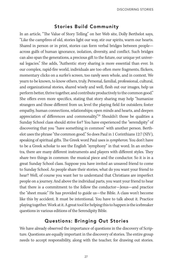#### Stories Build Community

In an article, "The Value of Story Telling" on her Web site, Dolly Berthelot says, "Like the campfires of old, stories light our way, stir our spirits, warm our hearts. Shared in person or in print, stories can form verbal bridges between people across gulfs of human ignorance, isolation, diversity, and conflict. Such bridges can also span the generations, a precious gift to the future, our unique yet universal legacies." She adds, "Authentic story sharing is more essential than ever. In our complex, rapid-fire world, individuals are too often mere fragments, flickers, momentary clicks on a surfer's screen, too rarely seen whole, and in context. We yearn to be known, to know others, truly. Personal, familial, professional, cultural, and organizational stories, shared wisely and well, flesh out our images, help us perform better, thrive together, and contribute productively to the common good." She offers even more specifics, stating that story sharing may help "humanize strangers and those different from us; level the playing field for outsiders; foster empathy, human connections, relationships; open minds and hearts, and deepen appreciation of differences and commonality."<sup>29</sup> Shouldn't those be qualities a Sunday School class should strive for? You have experienced the "serendipity" of discovering that you "have something in common" with another person. Berthelot uses the phrase "the common good." So does Paul in 1 Corinthians 12:7 (NIV), speaking of spiritual gifts. The Greek word Paul uses is sympheron. You don't have to be a Greek scholar to see the English "symphony" in that word. In an orchestra, there are many different instruments and players with different styles. They share two things in common: the musical piece and the conductor. So it is in a great Sunday School class. Suppose you have invited an unsaved friend to come to Sunday School. As people share their stories, what do you want your friend to hear? Well, of course you want her to understand that Christians are imperfect people on a journey. And above the individual parts, you want your friend to hear that there is a commitment to the follow the conductor—Jesus—and practice the "sheet music" He has provided to guide us—the Bible. A class won't become like this by accident. It must be intentional. You have to talk about it. Practice playing together. Work at it. A great tool for helping this to happen is the icebreaker questions in various editions of the Serendipity Bible.

#### Questions: Bringing Out Stories

We have already observed the importance of questions in the discovery of Scripture. Questions are equally important in the discovery of stories. The entire group needs to accept responsibility, along with the teacher, for drawing out stories.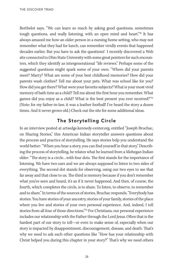Berthelot says, "We can learn so much by asking good questions, sometimes tough questions, and really listening, with an open mind and heart."<sup>30</sup> It has always amazed me how an older person in a nursing home setting, who may not remember what they had for lunch, can remember vividly events that happened decades earlier. But you have to ask the questions! I recently discovered a Web site connected to Ohio State University with some great pointers for such encounters, which they identify as intergenerational "life reviews." Perhaps some of the suggested questions might spark some of your own: "Where did your parents meet? Marry? What are some of your best childhood memories? How did your parents wash clothes? Tell me about your pets. What was school like for you? How did you get there? What were your favorite subjects? What is your most vivid memory of bath time as a child? Tell me about the first hour you remember. What games did you enjoy as a child? What is the best present you ever received?"<sup>31</sup> (Note: for my father-in-law, it was a leather football! I've heard the story a dozen times. And it never grows old.) Check out the site for some additional ideas.

#### The Storytelling Circle

In an interview posted at artsedge.kennedy-center.org, entitled "Joseph Bruchac, on Sharing Stories," this American Indian storyteller answers questions about the process and practice of storytelling. He says stories help you understand the world better: "When you hear a story, you can find yourself in that story." Describing the process of storytelling, he relates what he learned from a Mohegan Indian elder: "The story is a circle…with four dots. The first stands for the importance of listening. We have two ears and we are always supposed to listen to two sides of everything. The second dot stands for observing, using our two eyes to see that far away and that close to us. The third is memory because if you don't remember what you've seen and heard, it's as if it never happened. And then, of course, the fourth, which completes the circle, is to share. To listen, to observe, to remember and to share." In terms of the sources of stories, Bruchac responds, "Everybody has stories. You have stories of your ancestry, stories of your family, stories of the place where you live and stories of your own personal experience. And, indeed, I tell stories from all four of those directions."<sup>32</sup> For Christians, our personal experience includes our relationship with the Father through the Lord Jesus. Often that is the hardest part of our story to tell—or even to make sense of, especially when our story is impacted by disappointment, discouragement, disease, and death. That's why we need to ask each other questions like "How has your relationship with Christ helped you during this chapter in your story?" That's why we need others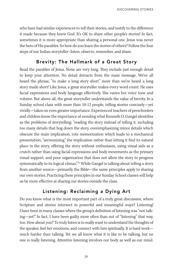who have had similar experiences to tell their stories, and testify to the difference it made because they knew God. It's OK to share other people's stories! In fact, sometimes it is more appropriate than sharing a personal one. Jesus was never the hero of His parables. So how do you learn the stories of others? Follow the four steps of our Indian storyteller: listen, observe, remember, and share.

#### Brevity: The Hallmark of a Great Story

Read the parables of Jesus. None are very long. They include just enough detail to keep your attention. No detail detracts from the main message. We've all heard the phrase, "to make a long story short" more than we've heard a long story made short! Like Jesus, a great storyteller makes every word count. He uses facial expressions and body language effectively. She varies her voice tone and volume. But above all, the great storyteller understands the value of brevity. In a Sunday school class with more than 10-12 people, telling stories concisely—yet vividly—takes on even greater importance. Experienced teachers of preschoolers and children know the importance of avoiding what Kenneth O. Gangel identifies as the problems of storytelling: "reading the story instead of telling it, including too many details that bog down the story, overemphasizing minor details which obscure the main implication, rote memorization which leads to a mechanical presentation, "sermonizing" the implication rather than letting it find its natural place in the story, offering the story without enthusiasm, using visual aids as a crutch rather than using facial expressions and body movements as the primary visual support, and poor organization that does not allow the story to progress systematically to its logical climax."<sup>33</sup> While Gangel is talking about telling a story from another source—primarily the Bible—the same principles apply to sharing our own stories. Practicing these principles in our Sunday School classes will help us be more effective at sharing our stories outside the class.

#### Listening: Reclaiming a Dying Art

Do you know what is the most important part of a truly great discussion, where Scripture and stories intersect in powerful and meaningful ways? Listening! I have been in many classes where the group's definition of listening was "not talking—yet!" In fact, I have been guilty more often than not of "listening" that way, too. How about you? To truly listen is to really want to understand the thoughts of the speaker, feel her emotions, and connect with him spiritually. It is hard work much harder than talking. Yet we all know what it is like to be talking, but no one is really listening. Attentive listening involves our body as well as our mind.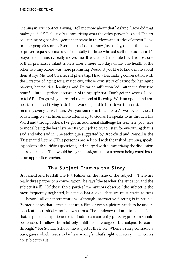Leaning in. Eye contact. Saying, "Tell me more about that." Asking, "How did that make you feel?" Reflectively summarizing what the other person has said. The art of listening begins with a genuine interest in the views and stories of others. I love to hear people's stories. Even people I don't know. Just today, one of the dozens of prayer requests e-mails sent out daily to those who subscribe to our church's prayer alert ministry really moved me. It was about a couple that had lost one of their premature infant triplets after a mere two days of life. The health of the other two tiny babies was more promising. Wouldn't you like to know more about their story? Me, too! On a recent plane trip, I had a fascinating conversation with the Director of Aging for a major city, whose own story of caring for her aging parents, her political leanings, and Unitarian affiliation led—after the first two hours! —into a spirited discussion of things spiritual. Don't get me wrong. I love to talk! But I'm growing more and more fond of listening. With an open mind and heart—or at least trying to do that. Working hard to turn down the constant chatter in my overly active brain. Will you join me in that effort? As we develop the art of listening, we will listen more attentively to God as He speaks to us through His Word and through others. I've got an additional challenge for teachers: you have to model being the best listener! It's your job to try to listen for everything that is said and who said it. One technique suggested by Brookfield and Preskill is the "Designated Listener." This person is pre-selected with the task of listening, speaking only to ask clarifying questions, and charged with summarizing the discussion at its conclusion. That would be a great assignment for a person being considered as an apprentice teacher.

#### The Subject Trumps the Story

Brookfield and Preskill cite P. J. Palmer on the issue of the subject. "There are really three parties to a conversation," he says "the teacher, the students, and the subject itself." "Of these three parties," the authors observe, "the subject is the most frequently neglected, but it too has a voice that 'we must strain to hear . . . beyond all our interpretations.' Although interpretive filtering is inevitable, Palmer advises that a text, a lecture, a film, or even a picture needs to be understood, at least initially, on its own terms. The tendency to jump to conclusions that fit personal experience or that address a currently pressing problem should be resisted to allow the relatively unfiltered message of the subject to come through."<sup>34</sup> For Sunday School, the subject is the Bible. When its story contradicts ours, guess which needs to be "less wrong"? That's right: our story! Our stories are subject to His.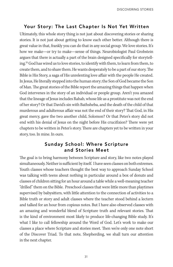#### Your Story: The Last Chapter Is Not Yet Written

Ultimately, this whole story thing is not just about discovering stories or sharing stories. It is not just about getting to know each other better. Although there is great value in that, frankly you can do that in any social group. We love stories. It's how we make—or try to make—sense of things. Neurobiologist Paul Grobstein argues that there is actually a part of the brain designed specifically for storytelling.<sup>35</sup> God has wired us to love stories, to identify with them, to learn from them, to create them, and to share them. He wants desperately to be a part of our story. The Bible is His Story, a saga of His unrelenting love affair with the people He created. In Jesus, He literally stepped into the human story; the Son of God became the Son of Man. The great stories of the Bible report the amazing things that happen when God intervenes in the story of an individual or people group. Aren't you amazed that the lineage of Jesus includes Rahab, whose life as a prostitute was not the end of her story? Or that David's sin with Bathsheba, and the death of the child of that murderous and adulterous affair was not the end of their story? That God, in His great mercy, gave the two another child, Solomon? Or that Peter's story did not end with his denial of Jesus on the night before His crucifixion? There were yet chapters to be written in Peter's story. There are chapters yet to be written in your story, too. In mine. In ours.

#### Sunday School: Where Scripture and Stories Meet

The goal is to bring harmony between Scripture and story, like two notes played simultaneously. Neither is sufficient by itself. I have seen classes on both extremes. Youth classes whose teachers thought the best way to approach Sunday School was talking with teens about nothing in particular around a box of donuts and classes of children sitting for an hour around a table while a well-meaning teacher "drilled" them on the Bible. Preschool classes that were little more than playtimes supervised by babysitters, with little attention to the connection of activities to a Bible truth or story and adult classes where the teacher stood behind a lectern and talked for an hour from copious notes. But I have also observed classes with an amazing and wonderful blend of Scripture truth and relevant stories. That is the kind of environment most likely to produce life-changing Bible study. It's what I like to call fellowship around the Word of God. Let's work to make our classes a place where Scripture and stories meet. Then we're only one note short of the Discover Triad. To that note, Shepherding, we shall turn our attention in the next chapter.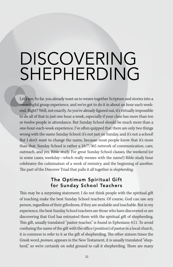# DISCOVERING SHEPHERDING

Let's see. So far, you already want us to weave together Scripture and stories into a meaningful group experience, and we've got to do it in about an hour each weekend. Right? Well, not exactly. As you've already figured out, it's virtually impossible to do all of that in just one hour a week, especially if your class has more than ten or twelve people in attendance. But Sunday School should be much more than a one-hour-each-week experience. I've often quipped that there are only two things wrong with the name Sunday School: it's not just on Sunday, and it's not a school! But I don't want to change the name, because most people know that it's more than that. Sunday School is rather a 24/7/365 network of communication, care, outreach, and yes, Bible study. For great Sunday School classes, the weekend (or in some cases, weekday—which really messes with the name!) Bible study hour celebrates the culmination of a week of ministry, and the beginning of another. The part of the Discover Triad that pulls it all together is *shepherding*.

#### The Optimum Spiritual Gift for Sunday School Teachers

This may be a surprising statement: I do not think people with the spiritual gift of teaching make the best Sunday School teachers. Of course, God can use any person, regardless of their giftedness, if they are available and teachable. But in my experience, the best Sunday School teachers are those who have discovered or are discovering that God has entrusted them with the spiritual gift of shepherding. This gift, usually translated "pastor-teacher," is found in Ephesians 4:11. To avoid confusing the name of the gift with the office (position) of pastor in a local church, it is common to refer to it as the gift of shepherding. The other sixteen times the Greek word, *poimen*, appears in the New Testament, it is usually translated "shepherd," so we're certainly on solid ground to call it shepherding. There are many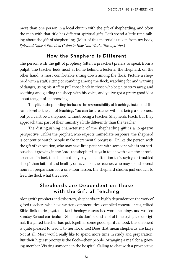more than one person in a local church with the gift of shepherding, and often the man with that title has different spiritual gifts. Let's spend a little time talking about the gift of shepherding. (Most of this material is taken from my book, Spiritual Gifts: A Practical Guide to How God Works Through You.)

#### How the Shepherd Is Different

The person with the gift of prophecy (often a preacher) prefers to speak from a pulpit. The teacher feels most at home behind a lectern. The shepherd, on the other hand, is most comfortable sitting down among the flock. Picture a shepherd with a staff, sitting or standing among the flock, watching for and warning of danger, using his staff to pull those back in those who begin to stray away, and soothing and guiding the sheep with his voice, and you've got a pretty good idea about the gift of shepherding.

The gift of shepherding includes the responsibility of teaching, but not at the same level as the gift of teaching. You can be a teacher without being a shepherd, but you can't be a shepherd without being a teacher. Shepherds teach, but they approach that part of their ministry a little differently than the teacher.

The distinguishing characteristic of the shepherding gift is a long-term perspective. Unlike the prophet, who expects immediate response, the shepherd is content to watch people make incremental progress. Unlike the person with the gift of exhortation, who may have little patience with someone who is not serious about growing in the Lord, the shepherd stays in touch with even the chronic absentee. In fact, the shepherd may pay equal attention to "straying or troubled sheep" than faithful and healthy ones. Unlike the teacher, who may spend several hours in preparation for a one-hour lesson, the shepherd studies just enough to feed the flock what they need.

#### Shepherds are Dependent on Those with the Gift of Teaching

Along with prophets and exhorters, shepherds are highly dependent on the work of gifted teachers who have written commentaries, compiled concordances, edited Bible dictionaries, systematized theology, researched word meanings, and written Sunday School curriculum! Shepherds don't spend a lot of time trying to be original. If a gifted teacher has put together some good spiritual food, the shepherd is quite pleased to feed it to her flock, too! Does that mean shepherds are lazy? Not at all! Most would really like to spend more time in study and preparation. But their highest priority is the flock—their people. Arranging a meal for a grieving member. Visiting someone in the hospital. Calling to chat with a prospective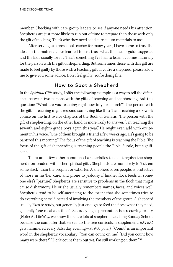member. Checking with care group leaders to see if anyone needs his attention. Shepherds are just more likely to run out of time to prepare than those with only the gift of teaching. That's why they need solid curriculum materials to use.

After serving as a preschool teacher for many years, I have come to trust the ideas in the materials. I've learned to just trust what the leader guide suggests, and the kids usually love it. That's something I've had to learn. It comes naturally for the person with the gift of shepherding. But sometimes those with this gift are made to feel guilty by those with a teaching gift. If you're a shepherd, please allow me to give you some advice: Don't feel guilty! You're doing fine.

#### How to Spot a Shepherd

In the Spiritual Gifts study, I offer the following example as a way to tell the difference between two persons with the gifts of teaching and shepherding. Ask this question: "What are you teaching right now in your church?" The person with the gift of teaching might respond something like this: "I am teaching a six-week course on the first twelve chapters of the Book of Genesis." The person with the gift of shepherding, on the other hand, is more likely to answer, "I'm teaching the seventh and eighth grade boys again this year." He might even add with excitement in his voice, "One of them brought a friend a few weeks ago. He's going to be baptized this morning!" The focus of the gift of teaching is teaching the Bible. The focus of the gift of shepherding is teaching people the Bible. Subtle, but significant.

There are a few other common characteristics that distinguish the shepherd from leaders with other spiritual gifts. Shepherds are more likely to "cut 'em some slack" than the prophet or exhorter. A shepherd loves people, is protective of those in his/her care, and prone to jealousy if his/her flock feeds in someone else's "pasture." Shepherds are sensitive to problems in the flock that might cause disharmony. He or she usually remembers names, faces, and voices well. Shepherds tend to be self-sacrificing to the extent that she sometimes tries to do everything herself instead of involving the members of the group. A shepherd usually likes to study, but generally just enough to feed the flock what they need, generally "one meal at a time." Saturday night preparation is a recurring reality. (Note: At LifeWay, we know there are lots of shepherds teaching Sunday School, because the computer that serves up the free curriculum supplement, EXTRA!, gets hammered every Saturday evening—at 9:00 p.m.!) "Count" is an important word in the shepherd's vocabulary: "You can count on me." "Did you count how many were there?" "Don't count them out yet; I'm still working on them!"36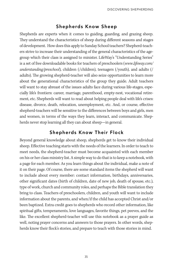#### Shepherds Know Sheep

Shepherds are experts when it comes to guiding, guarding, and grazing sheep. They understand the characteristics of sheep during different seasons and stages of development. How does this apply to Sunday School teachers? Shepherd-teachers strive to increase their understanding of the general characteristics of the agegroup which their class is assigned to minister. LifeWay's "Understanding Series" is a set of free downloadable books for teachers of preschoolers (www.lifeway.com/ understanding/preschool), children (/children), teenagers (/youth), and adults (/ adults). The growing shepherd-teacher will also seize opportunities to learn more about the generational characteristics of the group they guide. Adult teachers will want to stay abreast of the issues adults face during various life-stages, especially life's frontiers: career, marriage, parenthood, empty-nest, vocational retirement, etc. Shepherds will want to read about helping people deal with life's crises: disease, divorce, death, relocation, unemployment, etc. And, or course, effective shepherd-teachers will be sensitive to the differences between boys and girls, men and women, in terms of the ways they learn, interact, and communicate. Shepherds never stop learning all they can about sheep—in general.

#### Shepherds Know Their Flock

Beyond general knowledge about sheep, shepherds get to know their individual sheep. Effective teaching starts with the needs of the learners. In order to teach to meet needs, the shepherd-teacher must become acquainted with each member on his or her class ministry list. A simple way to do that is to keep a notebook, with a page for each member. As you learn things about the individual, make a note of it on their page. Of course, there are some standard items the shepherd will want to include about every member: contact information, birthdays, anniversaries, other significant dates (birth of children, date of new job, death of spouse, etc.), type of work, church and community roles, and perhaps the Bible translation they bring to class. Teachers of preschoolers, children, and youth will want to include information about the parents, and when/if the child has accepted Christ and/or been baptized. Extra credit goes to shepherds who record other information, like spiritual gifts, temperaments, love languages, favorite things, pet peeves, and the like. The excellent shepherd-teacher will use this notebook as a prayer guide as well, noting prayer concerns and answers to those prayers. In other words, shepherds know their flock's stories, and prepare to teach with those stories in mind.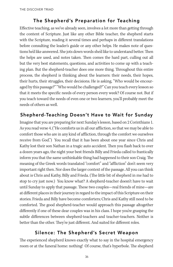#### The Shepherd's Preparation for Teaching

Effective teaching, as we've already seen, involves a lot more than getting through the content of Scripture. Just like any other Bible teacher, the shepherd starts with the Scripture, reading it several times and perhaps in different translations before consulting the leader's guide or any other helps. He makes note of questions he'd like answered. She jots down words she'd like to understand better. Then the helps are used, and notes taken. Then comes the hard part, culling out all but the very best statements, questions, and activities to come up with a teaching plan. But the shepherd-teacher does one more thing. Throughout this entire process, the shepherd is thinking about the learners: their needs, their hopes, their hurts, their struggles, their decisions. He is asking, "Who would be encouraged by this passage?" "Who would be challenged?" Can you teach every lesson so that it meets the specific needs of every person every week? Of course not. But if you teach toward the needs of even one or two learners, you'll probably meet the needs of others as well.

#### Shepherd-Teaching Doesn't Have to Wait for Sunday

Imagine that you are preparing for next Sunday's lesson, based on 2 Corinthians 1. As you read verse 4, ("He comforts us in all our affliction, so that we may be able to comfort those who are in any kind of affliction, through the comfort we ourselves receive from God.") You recall that it has been about one year since Chris and Kathy lost their son Nathan in a tragic auto accident. Then you flash back to over a dozen years ago, the night your best friends Billy and Frieda called to frantically inform you that the same unthinkable thing had happened to their son Craig. The meaning of the Greek words translated "comfort" and "affliction" don't seem very important right then. Nor does the larger context of the passage. All you can think about is Chris and Kathy, Billy and Frieda. (The little bit of shepherd in me had to stop to cry just now.) You know what? A shepherd-teacher doesn't have to wait until Sunday to apply that passage. These two couples—real friends of mine—are at different places in their journey in regard to the impact of this Scripture on their stories. Frieda and Billy have become comforters; Chris and Kathy still need to be comforted. The good shepherd-teacher would approach this passage altogether differently if one of these dear couples was in his class. I hope you're grasping the subtle differences between shepherd-teachers and teacher-teachers. Neither is better than the other. They're just different. And suited for different roles.

#### Silence: The Shepherd's Secret Weapon

The experienced shepherd knows exactly what to say in the hospital emergency room or at the funeral home: nothing! Of course, that's hyperbole. The shepherd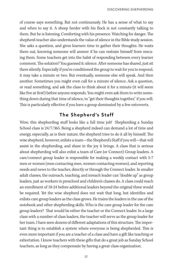of course says something. But not continuously. He has a sense of what to say and when to say it. A sheep herder with his flock is not constantly talking to them. But he is listening. Comforting with his presence. Watching for danger. The shepherd-teacher also understands the value of silence in the Bible study session. She asks a question, and gives learners time to gather their thoughts. He waits them out, knowing someone will answer if he can restrain himself from rescuing them. Some teachers get into the habit of responding between every learner comment. The solution? You guessed it: silence. After someone has shared, just sit there silently. Especially if you've conditioned the group to wait for you to respond, it may take a minute or two. But eventually, someone else will speak. And then another. Sometimes you might even call for a minute of silence. Ask a question, or read something, and ask the class to think about it for a minute (it will seem like five at first!) before anyone responds. You might even ask them to write something down during that time of silence, to "get their thoughts together," if you will. This is particularly effective if you have a group dominated by a few extroverts.

#### The Shepherd's Staff

Wow, this shepherding stuff looks like a full time job! Shepherding a Sunday School class is 24/7/365. Being a shepherd indeed can demand a lot of time and energy, especially, as is their nature, the shepherd tries to do it all by himself. The wise shepherd, however, enlists a team—the Shepherd's Staff if you will—that will assist in the shepherding, and share in the joy it brings. A class that is serious about shepherding will also enlist a team of Care (or Connect) Group leaders. A care/connect group leader is responsible for making a weekly contact with 5-7 men or women (men contacting men, women contacting women), and reporting needs and news to the teacher, directly or through the Connect leader. In smaller adult classes, the outreach, teaching, and inreach leader can "double up" as group leaders, just as workers in preschool and children's classes do. A class could reach an enrollment of 18-24 before additional leaders beyond the original three would be required. Yet the wise shepherd does not wait that long, but identifies and enlists care group leaders as the class grows. He trains the leaders in the use of the notebook and other shepherding skills. Who is the care group leader for the care group leaders? That would be either the teacher or the Connect leader. In a large class with a number of class leaders, the teacher will serve as the group leader for her team. I have seen dozens of different adaptations of this structure. The important thing is to establish a system where everyone is being shepherded. This is even more important if you are a teacher of a class and have a gift like teaching or exhortation. I know teachers with these gifts that do a great job as Sunday School teachers, as long as they compensate by having a great class organization.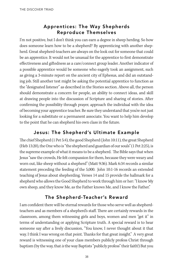#### Apprentices: The Way Shepherds Reproduce Themselves

I'm not positive, but I don't think you can earn a degree in sheep herding. So how does someone learn how to be a shepherd? By apprenticing with another shepherd. Great shepherd-teachers are always on the look out for someone that could be an apprentice. It would not be unusual for the apprentice to first demonstrate effectiveness and giftedness as a care/connect group leader. Another indicator of a possible apprentice would be someone who eagerly took an assignment, such as giving a 3-minute report on the ancient city of Ephesus, and did an outstanding job. Still another test might be asking the potential apprentice to function as the "designated listener" as described in the Stories section. Above all, the person should demonstrate a concern for people, an ability to connect ideas, and skill at drawing people into the discussion of Scripture and sharing of stories. After confirming the possibility through prayer, approach the individual with the idea of becoming your apprentice teacher. Be sure they understand that you're not just looking for a substitute or a permanent associate. You want to help him develop to the point that he can shepherd his own class in the future.

#### Jesus: The Shepherd's Ultimate Example

The chief Shepherd (1 Pet 5:4), the good Shepherd (John 10:11), the great Shepherd (Heb 13:20), the One who is "the shepherd and guardian of our souls" (1 Pet 2:25), is the supreme example of what it means to be a shepherd. The Bible says that when Jesus "saw the crowds, He felt compassion for them, because they were weary and worn out, like sheep without a shepherd" (Matt 9:36). Mark 6:34 records a similar statement preceding the feeding of the 5,000. John 10:1-16 records an extended teaching of Jesus about shepherding. Verses 14 and 15 provide the hallmark for a shepherd who allows the Good Shepherd to work through him or her: "I know My own sheep, and they know Me, as the Father knows Me, and I know the Father."

#### The Shepherd-Teacher's Reward

I am confident there will be eternal rewards for those who serve well as shepherdteachers and as members of a shepherd's staff. There are certainly rewards in the classroom, among them witnessing girls and boys, women and men "get it" in terms of understanding or applying Scripture truth. A special reward is to hear someone say after a lively discussion, "You know, I never thought about it that way. I think I was wrong on that point. Thanks for that great insight." A very great reward is witnessing one of your class members publicly profess Christ through baptism (by the way, that is the way Baptists "publicly profess" their faith!) But you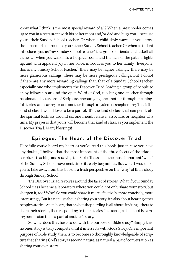CHAPTER TITLE

know what I think is the most special reward of all? When a preschooler comes up to you in a restaurant with his or her mom and/or dad and hugs you—because you're their Sunday School teacher. Or when a child shyly waves at you across the supermarket—because you're their Sunday School teacher. Or when a student introduces you as "my Sunday School teacher" to a group of friends at a basketball game. Or when you walk into a hospital room, and the face of the patient lights up, and with apparent joy in her voice, introduces you to her family, "Everyone, this is my Sunday School teacher." There may be higher callings. There may be more glamorous callings. There may be more prestigious callings. But I doubt if there are any more rewarding callings than that of a Sunday School teacher, especially one who implements the Discover Triad: leading a group of people to enjoy fellowship around the open Word of God, teaching one another through passionate discussions of Scripture, encouraging one another through meaningful stories, and caring for one another through a system of shepherding. That's the kind of class I would love to be a part of. It's the kind of class that can penetrate the spiritual lostness around us, one friend, relative, associate, or neighbor at a time. My prayer is that yours will become that kind of class, as you implement the Discover Triad. Many blessings!

#### Epilogue: The Heart of the Discover Triad

Hopefully you've heard my heart as you've read this book. Just in case you have any doubts, I believe that the most important of the three facets of the triad is scripture: teaching and studying the Bible. That's been the most important "what" of the Sunday School movement since its early beginnings. But what I would like you to take away from this book is a fresh perspective on the "why" of Bible study through Sunday School.

The Discover Triad revolves around the facet of stories. What if your Sunday School class became a laboratory where you could not only share your story, but sharpen it, too? Why? So you could share it more effectively, more concisely, more interestingly. But it's not just about sharing your story; it's also about hearing other people's stories. At its heart, that's what shepherding is all about: inviting others to share their stories, then responding to their stories. In a sense, a shepherd is earning permission to be a part of another's story.

So what does that have to do with the purpose of Bible study? Simply this: no one's story is truly complete until it intersects with God's Story. One important purpose of Bible study, then, is to become so thoroughly knowledgeable of scripture that sharing God's story is second nature, as natural a part of conversation as sharing your own story.

39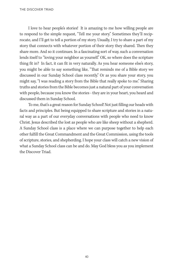I love to hear people's stories! It is amazing to me how willing people are to respond to the simple request, "Tell me your story." Sometimes they'll reciprocate, and I'll get to tell a portion of my story. Usually, I try to share a part of my story that connects with whatever portion of their story they shared. Then they share more. And so it continues. In a fascinating sort of way, such a conversation lends itself to "loving your neighbor as yourself." OK, so where does the scripture thing fit in? In fact, it can fit in very naturally. As you hear someone else's story, you might be able to say something like, "That reminds me of a Bible story we discussed in our Sunday School class recently." Or as you share your story, you might say, "I was reading a story from the Bible that really spoke to me." Sharing truths and stories from the Bible becomes just a natural part of your conversation with people, because you know the stories - they are in your heart, you heard and discussed them in Sunday School.

To me, that's a great reason for Sunday School! Not just filling our heads with facts and principles. But being equipped to share scripture and stories in a natural way as a part of our everyday conversations with people who need to know Christ. Jesus described the lost as people who are like sheep without a shepherd. A Sunday School class is a place where we can purpose together to help each other fulfill the Great Commandment and the Great Commission, using the tools of scripture, stories, and shepherding. I hope your class will catch a new vision of what a Sunday School class can be and do. May God bless you as you implement the Discover Triad.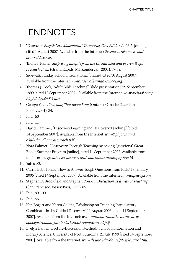### ENDNOTES

- 1. "Discover," Roget's New Millennium™ Thesaurus, First Edition (v 1.3.1) [online], cited 1 August 2007. Available from the Internet: thesaurus.reference.com/ browse/discover.
- 2. Thom S. Rainer, Surprising Insights from the Unchurched and Proven Ways to Reach Them (Grand Rapids, MI: Zondervan, 2001), 57-59.
- 3. Sidewalk Sunday School International [online], cited 30 August 2007. Available from the Internet: www.sidewalksundayschool.org.
- 4. Thomas J. Cook, "Adult Bible Teaching" [slide presentation], 29 September 1999 [cited 19 September 2007]. Available from the Internet: www.sschool.com/ SS\_Adult/tsld021.htm.
- 5. George Yates, Teaching That Bears Fruit (Ontario, Canada: Guardian Books, 2001), 34.
- 6. Ibid., 50.
- 7. Ibid., 11.
- 8. David Hammer, "Discovery Learning and Discovery Teaching," [cited 14 September 2007]. Available from the Internet: www2.physics.umd. edu/~davidham/discteach.pdf.
- 9. Nora Palmieri, "Discovery Through Teaching by Asking Questions," Great Books Summer Program [online], cited 14 September 2007. Available from the Internet: greatbookssummer.com/contentman/index.php?id=15.
- 10. Yates, 82.
- 11. Carrie Beth Tonks, "How to Answer Tough Questions from Kids," 18 January 2006 [cited 14 September 2007]. Available from the Internet: www.lifeway.com.
- 12. Stephen D. Brookfield and Stephen Preskill, Discussion as a Way of Teaching (San Francisco: Jossey-Bass, 1999), 85.
- 13. Ibid., 99-100.
- 14. Ibid., 56.
- 15. Ken Bogart and Karen Collins, "Workshop on Teaching Introductory Combinatorics by Guided Discovery," 11 August 2003 [cited 14 September 2007]. Available from the Internet: www.math.dartmouth.edu/archive/ kpbogart/public\_html/WorkshopAnnouncement.pdf.
- 16. Evelyn Daniel, "Lecture-Discussion Method," School of Information and Library Science, University of North Carolina, 21 July 1999 [cited 14 September 2007]. Available from the Internet: www.ils.unc.edu/daniel/214/lecture.html.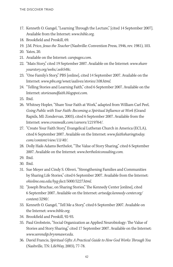- 17. Kenneth O. Gangel, "Learning Through the Lecture," [cited 14 September 2007]. Available from the Internet: www.bible.org.
- 18. Brookfield and Preskill, 69.
- 19. J.M. Price, Jesus the Teacher (Nashville: Convention Press, 1946, rev. 1981), 103.
- 20. Yates, 20.
- 21. Available on the Internet: carepages.com.
- 22. "Mats Story," cited 19 September 2007. Available on the Internet: www.share yourstory.org/webx/.eeb548c.
- 23. "One Family's Story," PBS [online], cited 14 September 2007. Available on the Internet: www.pbs.org/wnet/aalives/stories/108.html.
- 24. "Telling Stories and Learning Faith," cited 6 September 2007. Available on the Internet: storiesandfaith.blogspot.com.
- 25. Ibid.
- 26. Whitney Hopler, "Share Your Faith at Work," adapted from William Carl Peel, Going Public with Your Faith: Becoming a Spiritual Influence at Work (Grand Rapids, MI: Zondervan, 2003), cited 6 September 2007. Available from the Internet: www.crosswalk.com/careers/1219764/.
- 27. "Create Your Faith Story," Evangelical Lutheran Church in America (ECLA), cited 6 September 2007. Available on the Internet: www.faithsharingtoday. com/content/view/13/40/.
- 28. Dolly Haik-Adams Berthelot, "The Value of Story Sharing," cited 6 September 2007. Available on the Internet: www.berthelotconsulting.com.
- 29. Ibid.
- 30. Ibid.
- 31. Sue Moyer and Cindy S. Oliveri, "Strengthening Families and Communities by Sharing Life Stories," cited 6 September 2007. Available from the Internet: ohioline.osu.edu/hyg-fact/5000/5227.html.
- 32. "Joseph Bruchac, on Sharing Stories," The Kennedy Center [online], cited 6 September 2007. Available on the Internet: artsedge.kennedy-center.org/ content/3290/.
- 33. Kenneth O. Gangel, "Tell Me a Story," cited 6 September 2007. Available on the Internet: www.bible.org.
- 34. Brookfield and Preskill, 92-93.
- 35. Paul Grobstein, "Social Organization as Applied Neurobiology: The Value of Stories and Story Sharing," cited 17 September 2007. Available on the Internet: www.serendip.brynmawr.edu.
- 36. David Francis, Spiritual Gifts: A Practical Guide to How God Works Through You (Nashville, TN: LifeWay, 2003), 77-78.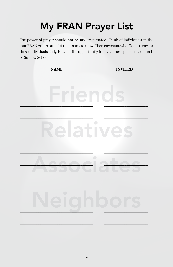### **My FRAN Prayer List**

The power of prayer should not be underestimated. Think of individuals in the four FRAN groups and list their names below. Then covenant with God to pray for these individuals daily. Pray for the opportunity to invite these persons to church or Sunday School.

**INVITED** 

**NAME**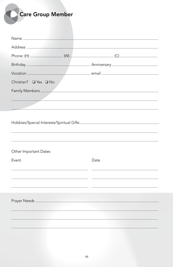| <b>Care Group Member</b> |                                                                                                                                                                                                                                                                                                                                                     |
|--------------------------|-----------------------------------------------------------------------------------------------------------------------------------------------------------------------------------------------------------------------------------------------------------------------------------------------------------------------------------------------------|
|                          |                                                                                                                                                                                                                                                                                                                                                     |
|                          |                                                                                                                                                                                                                                                                                                                                                     |
|                          |                                                                                                                                                                                                                                                                                                                                                     |
|                          | $\begin{picture}(180,10) \put(0,0){\line(1,0){10}} \put(10,0){\line(1,0){10}} \put(10,0){\line(1,0){10}} \put(10,0){\line(1,0){10}} \put(10,0){\line(1,0){10}} \put(10,0){\line(1,0){10}} \put(10,0){\line(1,0){10}} \put(10,0){\line(1,0){10}} \put(10,0){\line(1,0){10}} \put(10,0){\line(1,0){10}} \put(10,0){\line(1,0){10}} \put(10,0){\line($ |
|                          |                                                                                                                                                                                                                                                                                                                                                     |
| Vocation                 |                                                                                                                                                                                                                                                                                                                                                     |
| Christian? □ Yes □ No    |                                                                                                                                                                                                                                                                                                                                                     |
| Family Members           | <u> 1980 - Johann Stein, marwolaethau a bhann an t-Amhair an t-Amhair an t-Amhair an t-Amhair an t-Amhair an t-A</u>                                                                                                                                                                                                                                |
|                          |                                                                                                                                                                                                                                                                                                                                                     |
|                          |                                                                                                                                                                                                                                                                                                                                                     |
|                          |                                                                                                                                                                                                                                                                                                                                                     |
|                          |                                                                                                                                                                                                                                                                                                                                                     |
|                          |                                                                                                                                                                                                                                                                                                                                                     |
|                          |                                                                                                                                                                                                                                                                                                                                                     |
| Other Important Dates    |                                                                                                                                                                                                                                                                                                                                                     |
| Event                    | Date                                                                                                                                                                                                                                                                                                                                                |
|                          |                                                                                                                                                                                                                                                                                                                                                     |
|                          |                                                                                                                                                                                                                                                                                                                                                     |
|                          |                                                                                                                                                                                                                                                                                                                                                     |
| Prayer Needs             |                                                                                                                                                                                                                                                                                                                                                     |
|                          |                                                                                                                                                                                                                                                                                                                                                     |
|                          |                                                                                                                                                                                                                                                                                                                                                     |
|                          |                                                                                                                                                                                                                                                                                                                                                     |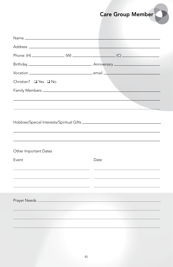Care Group Member

| Christian? □ Yes □ No                                                                                                  |      |
|------------------------------------------------------------------------------------------------------------------------|------|
|                                                                                                                        |      |
|                                                                                                                        |      |
| Other Important Dates                                                                                                  |      |
| Event                                                                                                                  | Date |
|                                                                                                                        |      |
| Prayer Needs <u>experience</u> and the property of the second service and the service of the service of the service of |      |
|                                                                                                                        |      |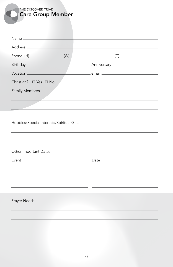**THE DISCOVER TRIAD** Care Group Member

|                       | $(C)$ and the contract of $(C)$ and the contract of $(C)$ and the contract of $(C)$ and the contract of $(C)$ |
|-----------------------|---------------------------------------------------------------------------------------------------------------|
|                       |                                                                                                               |
|                       |                                                                                                               |
| Christian? □ Yes □ No |                                                                                                               |
|                       |                                                                                                               |
|                       |                                                                                                               |
|                       |                                                                                                               |
|                       |                                                                                                               |
|                       |                                                                                                               |
|                       |                                                                                                               |
|                       |                                                                                                               |
| Other Important Dates |                                                                                                               |
| Event                 | Date                                                                                                          |
|                       |                                                                                                               |
|                       |                                                                                                               |
|                       |                                                                                                               |
|                       |                                                                                                               |
|                       |                                                                                                               |
|                       |                                                                                                               |
|                       |                                                                                                               |
|                       |                                                                                                               |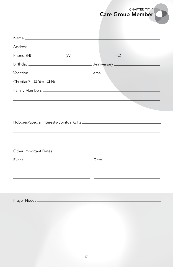

|                       | <u>and the state of the state of the state of the state of the state of the state of the state of the state of the state of the state of the state of the state of the state of the state of the state of the state of the state</u> |
|-----------------------|--------------------------------------------------------------------------------------------------------------------------------------------------------------------------------------------------------------------------------------|
|                       |                                                                                                                                                                                                                                      |
|                       |                                                                                                                                                                                                                                      |
|                       |                                                                                                                                                                                                                                      |
| Christian? □ Yes □ No |                                                                                                                                                                                                                                      |
|                       |                                                                                                                                                                                                                                      |
| Other Important Dates |                                                                                                                                                                                                                                      |
| Event                 | Date                                                                                                                                                                                                                                 |
|                       |                                                                                                                                                                                                                                      |